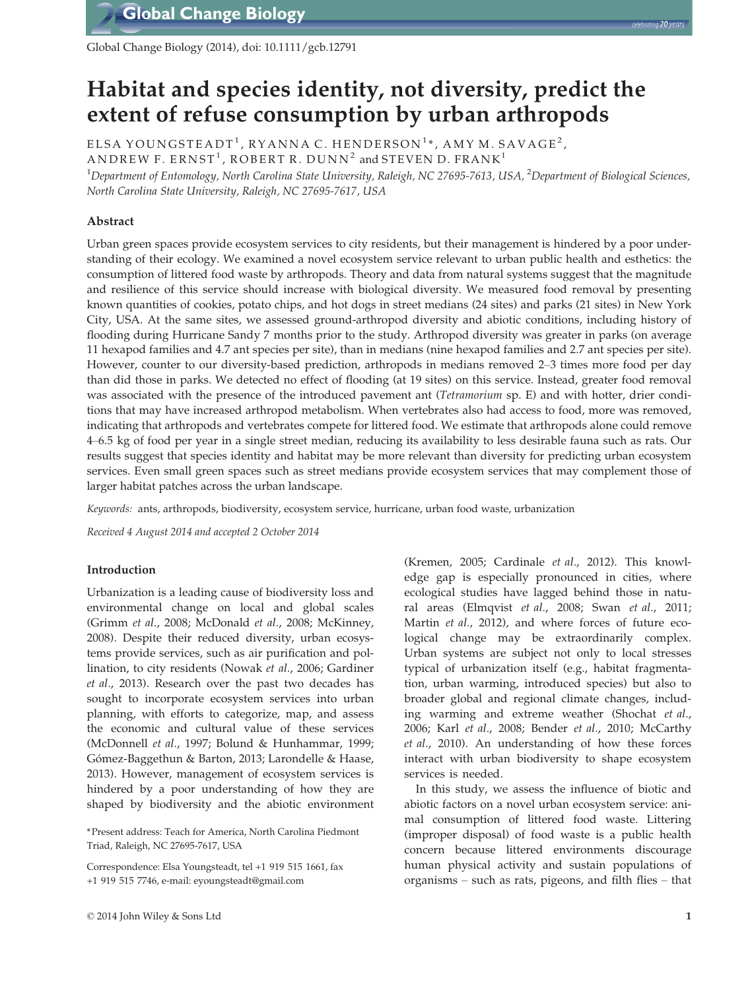

Global Change Biology (2014), doi: 10.1111/gcb.12791

# Habitat and species identity, not diversity, predict the extent of refuse consumption by urban arthropods

ELSA YOUNGSTEADT<sup>1</sup>, RYANNA C. HENDERSON<sup>1</sup>\*, AMY M. SAVAGE<sup>2</sup>, ANDREW F. ERNST<sup>1</sup>, ROBERT R. DUNN<sup>2</sup> and STEVEN D. FRANK<sup>1</sup>

 $^{\rm 1}$ Department of Entomology, North Carolina State University, Raleigh, NC 27695-7613, USA,  $^{\rm 2}$ Department of Biological Sciences, North Carolina State University, Raleigh, NC 27695-7617, USA

# Abstract

Urban green spaces provide ecosystem services to city residents, but their management is hindered by a poor understanding of their ecology. We examined a novel ecosystem service relevant to urban public health and esthetics: the consumption of littered food waste by arthropods. Theory and data from natural systems suggest that the magnitude and resilience of this service should increase with biological diversity. We measured food removal by presenting known quantities of cookies, potato chips, and hot dogs in street medians (24 sites) and parks (21 sites) in New York City, USA. At the same sites, we assessed ground-arthropod diversity and abiotic conditions, including history of flooding during Hurricane Sandy 7 months prior to the study. Arthropod diversity was greater in parks (on average 11 hexapod families and 4.7 ant species per site), than in medians (nine hexapod families and 2.7 ant species per site). However, counter to our diversity-based prediction, arthropods in medians removed 2–3 times more food per day than did those in parks. We detected no effect of flooding (at 19 sites) on this service. Instead, greater food removal was associated with the presence of the introduced pavement ant (Tetramorium sp. E) and with hotter, drier conditions that may have increased arthropod metabolism. When vertebrates also had access to food, more was removed, indicating that arthropods and vertebrates compete for littered food. We estimate that arthropods alone could remove 4–6.5 kg of food per year in a single street median, reducing its availability to less desirable fauna such as rats. Our results suggest that species identity and habitat may be more relevant than diversity for predicting urban ecosystem services. Even small green spaces such as street medians provide ecosystem services that may complement those of larger habitat patches across the urban landscape.

Keywords: ants, arthropods, biodiversity, ecosystem service, hurricane, urban food waste, urbanization

Received 4 August 2014 and accepted 2 October 2014

# Introduction

Urbanization is a leading cause of biodiversity loss and environmental change on local and global scales (Grimm et al., 2008; McDonald et al., 2008; McKinney, 2008). Despite their reduced diversity, urban ecosystems provide services, such as air purification and pollination, to city residents (Nowak et al., 2006; Gardiner et al., 2013). Research over the past two decades has sought to incorporate ecosystem services into urban planning, with efforts to categorize, map, and assess the economic and cultural value of these services (McDonnell et al., 1997; Bolund & Hunhammar, 1999; Gómez-Baggethun & Barton, 2013; Larondelle & Haase, 2013). However, management of ecosystem services is hindered by a poor understanding of how they are shaped by biodiversity and the abiotic environment

\*Present address: Teach for America, North Carolina Piedmont Triad, Raleigh, NC 27695-7617, USA

Correspondence: Elsa Youngsteadt, tel +1 919 515 1661, fax +1 919 515 7746, e-mail: eyoungsteadt@gmail.com

(Kremen, 2005; Cardinale et al., 2012). This knowledge gap is especially pronounced in cities, where ecological studies have lagged behind those in natural areas (Elmqvist et al., 2008; Swan et al., 2011; Martin et al., 2012), and where forces of future ecological change may be extraordinarily complex. Urban systems are subject not only to local stresses typical of urbanization itself (e.g., habitat fragmentation, urban warming, introduced species) but also to broader global and regional climate changes, including warming and extreme weather (Shochat et al., 2006; Karl et al., 2008; Bender et al., 2010; McCarthy et al., 2010). An understanding of how these forces interact with urban biodiversity to shape ecosystem services is needed.

In this study, we assess the influence of biotic and abiotic factors on a novel urban ecosystem service: animal consumption of littered food waste. Littering (improper disposal) of food waste is a public health concern because littered environments discourage human physical activity and sustain populations of organisms – such as rats, pigeons, and filth flies – that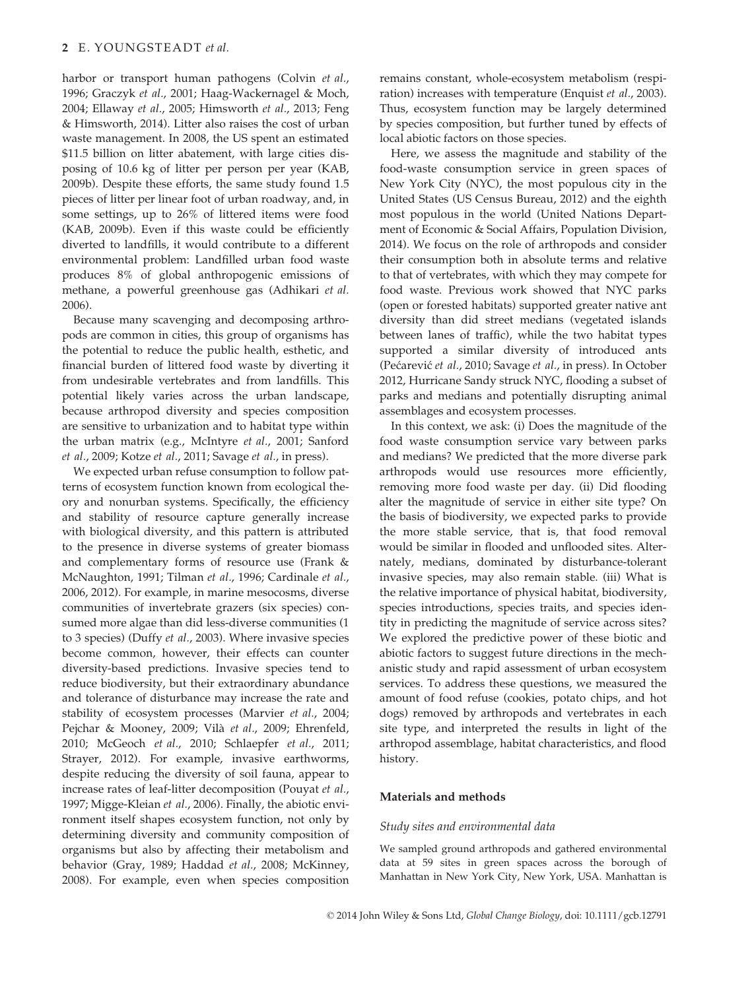## 2 E. YOUNGSTEADT et al.

harbor or transport human pathogens (Colvin et al., 1996; Graczyk et al., 2001; Haag-Wackernagel & Moch, 2004; Ellaway et al., 2005; Himsworth et al., 2013; Feng & Himsworth, 2014). Litter also raises the cost of urban waste management. In 2008, the US spent an estimated \$11.5 billion on litter abatement, with large cities disposing of 10.6 kg of litter per person per year (KAB, 2009b). Despite these efforts, the same study found 1.5 pieces of litter per linear foot of urban roadway, and, in some settings, up to 26% of littered items were food (KAB, 2009b). Even if this waste could be efficiently diverted to landfills, it would contribute to a different environmental problem: Landfilled urban food waste produces 8% of global anthropogenic emissions of methane, a powerful greenhouse gas (Adhikari et al. 2006).

Because many scavenging and decomposing arthropods are common in cities, this group of organisms has the potential to reduce the public health, esthetic, and financial burden of littered food waste by diverting it from undesirable vertebrates and from landfills. This potential likely varies across the urban landscape, because arthropod diversity and species composition are sensitive to urbanization and to habitat type within the urban matrix (e.g., McIntyre et al., 2001; Sanford et al., 2009; Kotze et al., 2011; Savage et al., in press).

We expected urban refuse consumption to follow patterns of ecosystem function known from ecological theory and nonurban systems. Specifically, the efficiency and stability of resource capture generally increase with biological diversity, and this pattern is attributed to the presence in diverse systems of greater biomass and complementary forms of resource use (Frank & McNaughton, 1991; Tilman et al., 1996; Cardinale et al., 2006, 2012). For example, in marine mesocosms, diverse communities of invertebrate grazers (six species) consumed more algae than did less-diverse communities (1 to 3 species) (Duffy et al., 2003). Where invasive species become common, however, their effects can counter diversity-based predictions. Invasive species tend to reduce biodiversity, but their extraordinary abundance and tolerance of disturbance may increase the rate and stability of ecosystem processes (Marvier et al., 2004; Pejchar & Mooney, 2009; Vilà et al., 2009; Ehrenfeld, 2010; McGeoch et al., 2010; Schlaepfer et al., 2011; Strayer, 2012). For example, invasive earthworms, despite reducing the diversity of soil fauna, appear to increase rates of leaf-litter decomposition (Pouyat et al., 1997; Migge-Kleian et al., 2006). Finally, the abiotic environment itself shapes ecosystem function, not only by determining diversity and community composition of organisms but also by affecting their metabolism and behavior (Gray, 1989; Haddad et al., 2008; McKinney, 2008). For example, even when species composition

remains constant, whole-ecosystem metabolism (respiration) increases with temperature (Enquist et al., 2003). Thus, ecosystem function may be largely determined by species composition, but further tuned by effects of local abiotic factors on those species.

Here, we assess the magnitude and stability of the food-waste consumption service in green spaces of New York City (NYC), the most populous city in the United States (US Census Bureau, 2012) and the eighth most populous in the world (United Nations Department of Economic & Social Affairs, Population Division, 2014). We focus on the role of arthropods and consider their consumption both in absolute terms and relative to that of vertebrates, with which they may compete for food waste. Previous work showed that NYC parks (open or forested habitats) supported greater native ant diversity than did street medians (vegetated islands between lanes of traffic), while the two habitat types supported a similar diversity of introduced ants (Pecarevic et al., 2010; Savage et al., in press). In October 2012, Hurricane Sandy struck NYC, flooding a subset of parks and medians and potentially disrupting animal assemblages and ecosystem processes.

In this context, we ask: (i) Does the magnitude of the food waste consumption service vary between parks and medians? We predicted that the more diverse park arthropods would use resources more efficiently, removing more food waste per day. (ii) Did flooding alter the magnitude of service in either site type? On the basis of biodiversity, we expected parks to provide the more stable service, that is, that food removal would be similar in flooded and unflooded sites. Alternately, medians, dominated by disturbance-tolerant invasive species, may also remain stable. (iii) What is the relative importance of physical habitat, biodiversity, species introductions, species traits, and species identity in predicting the magnitude of service across sites? We explored the predictive power of these biotic and abiotic factors to suggest future directions in the mechanistic study and rapid assessment of urban ecosystem services. To address these questions, we measured the amount of food refuse (cookies, potato chips, and hot dogs) removed by arthropods and vertebrates in each site type, and interpreted the results in light of the arthropod assemblage, habitat characteristics, and flood history.

# Materials and methods

## Study sites and environmental data

We sampled ground arthropods and gathered environmental data at 59 sites in green spaces across the borough of Manhattan in New York City, New York, USA. Manhattan is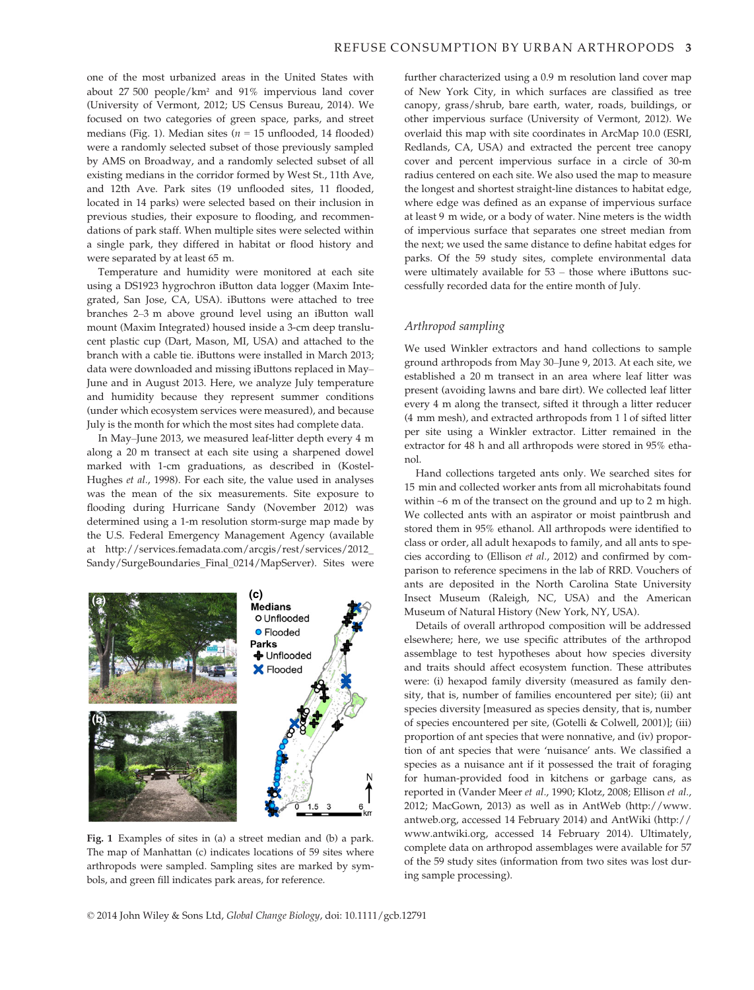one of the most urbanized areas in the United States with about 27 500 people/km² and 91% impervious land cover (University of Vermont, 2012; US Census Bureau, 2014). We focused on two categories of green space, parks, and street medians (Fig. 1). Median sites ( $n = 15$  unflooded, 14 flooded) were a randomly selected subset of those previously sampled by AMS on Broadway, and a randomly selected subset of all existing medians in the corridor formed by West St., 11th Ave, and 12th Ave. Park sites (19 unflooded sites, 11 flooded, located in 14 parks) were selected based on their inclusion in previous studies, their exposure to flooding, and recommendations of park staff. When multiple sites were selected within a single park, they differed in habitat or flood history and were separated by at least 65 m.

Temperature and humidity were monitored at each site using a DS1923 hygrochron iButton data logger (Maxim Integrated, San Jose, CA, USA). iButtons were attached to tree branches 2–3 m above ground level using an iButton wall mount (Maxim Integrated) housed inside a 3-cm deep translucent plastic cup (Dart, Mason, MI, USA) and attached to the branch with a cable tie. iButtons were installed in March 2013; data were downloaded and missing iButtons replaced in May– June and in August 2013. Here, we analyze July temperature and humidity because they represent summer conditions (under which ecosystem services were measured), and because July is the month for which the most sites had complete data.

In May–June 2013, we measured leaf-litter depth every 4 m along a 20 m transect at each site using a sharpened dowel marked with 1-cm graduations, as described in (Kostel-Hughes et al., 1998). For each site, the value used in analyses was the mean of the six measurements. Site exposure to flooding during Hurricane Sandy (November 2012) was determined using a 1-m resolution storm-surge map made by the U.S. Federal Emergency Management Agency (available at http://services.femadata.com/arcgis/rest/services/2012\_ Sandy/SurgeBoundaries\_Final\_0214/MapServer). Sites were



Fig. 1 Examples of sites in (a) a street median and (b) a park. The map of Manhattan (c) indicates locations of 59 sites where arthropods were sampled. Sampling sites are marked by symbols, and green fill indicates park areas, for reference.

further characterized using a 0.9 m resolution land cover map of New York City, in which surfaces are classified as tree canopy, grass/shrub, bare earth, water, roads, buildings, or other impervious surface (University of Vermont, 2012). We overlaid this map with site coordinates in ArcMap 10.0 (ESRI, Redlands, CA, USA) and extracted the percent tree canopy cover and percent impervious surface in a circle of 30-m radius centered on each site. We also used the map to measure the longest and shortest straight-line distances to habitat edge, where edge was defined as an expanse of impervious surface at least 9 m wide, or a body of water. Nine meters is the width of impervious surface that separates one street median from the next; we used the same distance to define habitat edges for parks. Of the 59 study sites, complete environmental data were ultimately available for 53 – those where iButtons successfully recorded data for the entire month of July.

#### Arthropod sampling

We used Winkler extractors and hand collections to sample ground arthropods from May 30–June 9, 2013. At each site, we established a 20 m transect in an area where leaf litter was present (avoiding lawns and bare dirt). We collected leaf litter every 4 m along the transect, sifted it through a litter reducer (4 mm mesh), and extracted arthropods from 1 l of sifted litter per site using a Winkler extractor. Litter remained in the extractor for 48 h and all arthropods were stored in 95% ethanol.

Hand collections targeted ants only. We searched sites for 15 min and collected worker ants from all microhabitats found within  $\sim$ 6 m of the transect on the ground and up to 2 m high. We collected ants with an aspirator or moist paintbrush and stored them in 95% ethanol. All arthropods were identified to class or order, all adult hexapods to family, and all ants to species according to (Ellison et al., 2012) and confirmed by comparison to reference specimens in the lab of RRD. Vouchers of ants are deposited in the North Carolina State University Insect Museum (Raleigh, NC, USA) and the American Museum of Natural History (New York, NY, USA).

Details of overall arthropod composition will be addressed elsewhere; here, we use specific attributes of the arthropod assemblage to test hypotheses about how species diversity and traits should affect ecosystem function. These attributes were: (i) hexapod family diversity (measured as family density, that is, number of families encountered per site); (ii) ant species diversity [measured as species density, that is, number of species encountered per site, (Gotelli & Colwell, 2001)]; (iii) proportion of ant species that were nonnative, and (iv) proportion of ant species that were 'nuisance' ants. We classified a species as a nuisance ant if it possessed the trait of foraging for human-provided food in kitchens or garbage cans, as reported in (Vander Meer et al., 1990; Klotz, 2008; Ellison et al., 2012; MacGown, 2013) as well as in AntWeb (http://www. antweb.org, accessed 14 February 2014) and AntWiki (http:// www.antwiki.org, accessed 14 February 2014). Ultimately, complete data on arthropod assemblages were available for 57 of the 59 study sites (information from two sites was lost during sample processing).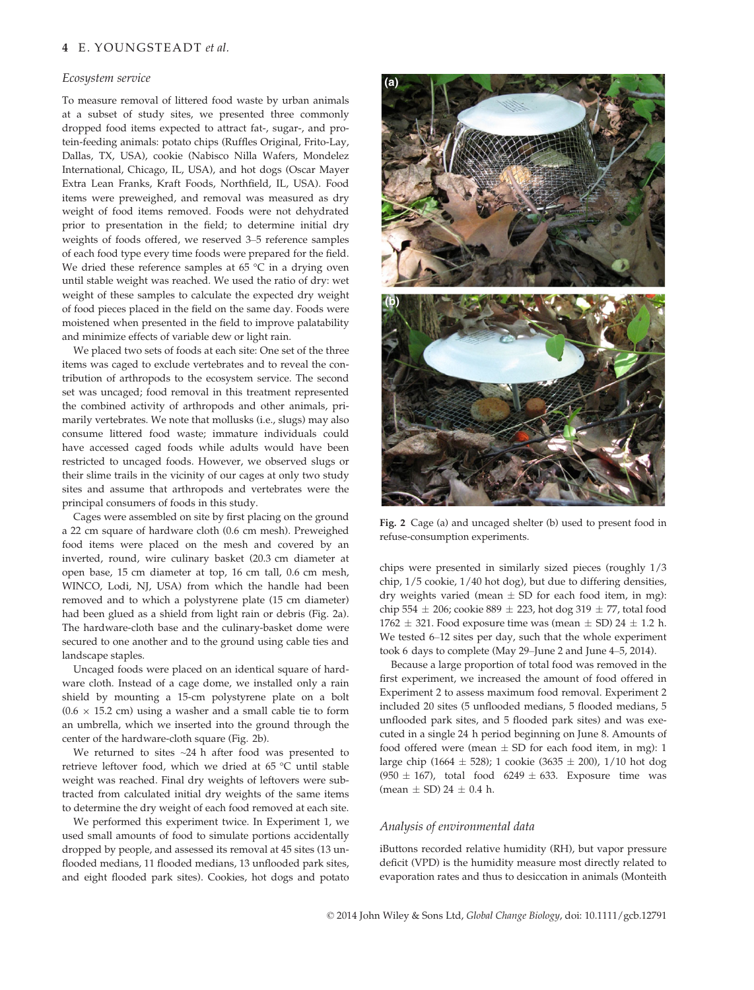#### Ecosystem service

To measure removal of littered food waste by urban animals at a subset of study sites, we presented three commonly dropped food items expected to attract fat-, sugar-, and protein-feeding animals: potato chips (Ruffles Original, Frito-Lay, Dallas, TX, USA), cookie (Nabisco Nilla Wafers, Mondelez International, Chicago, IL, USA), and hot dogs (Oscar Mayer Extra Lean Franks, Kraft Foods, Northfield, IL, USA). Food items were preweighed, and removal was measured as dry weight of food items removed. Foods were not dehydrated prior to presentation in the field; to determine initial dry weights of foods offered, we reserved 3–5 reference samples of each food type every time foods were prepared for the field. We dried these reference samples at 65 °C in a drying oven until stable weight was reached. We used the ratio of dry: wet weight of these samples to calculate the expected dry weight of food pieces placed in the field on the same day. Foods were moistened when presented in the field to improve palatability and minimize effects of variable dew or light rain.

We placed two sets of foods at each site: One set of the three items was caged to exclude vertebrates and to reveal the contribution of arthropods to the ecosystem service. The second set was uncaged; food removal in this treatment represented the combined activity of arthropods and other animals, primarily vertebrates. We note that mollusks (i.e., slugs) may also consume littered food waste; immature individuals could have accessed caged foods while adults would have been restricted to uncaged foods. However, we observed slugs or their slime trails in the vicinity of our cages at only two study sites and assume that arthropods and vertebrates were the principal consumers of foods in this study.

Cages were assembled on site by first placing on the ground a 22 cm square of hardware cloth (0.6 cm mesh). Preweighed food items were placed on the mesh and covered by an inverted, round, wire culinary basket (20.3 cm diameter at open base, 15 cm diameter at top, 16 cm tall, 0.6 cm mesh, WINCO, Lodi, NJ, USA) from which the handle had been removed and to which a polystyrene plate (15 cm diameter) had been glued as a shield from light rain or debris (Fig. 2a). The hardware-cloth base and the culinary-basket dome were secured to one another and to the ground using cable ties and landscape staples.

Uncaged foods were placed on an identical square of hardware cloth. Instead of a cage dome, we installed only a rain shield by mounting a 15-cm polystyrene plate on a bolt  $(0.6 \times 15.2 \text{ cm})$  using a washer and a small cable tie to form an umbrella, which we inserted into the ground through the center of the hardware-cloth square (Fig. 2b).

We returned to sites  $\sim$ 24 h after food was presented to retrieve leftover food, which we dried at 65 °C until stable weight was reached. Final dry weights of leftovers were subtracted from calculated initial dry weights of the same items to determine the dry weight of each food removed at each site.

We performed this experiment twice. In Experiment 1, we used small amounts of food to simulate portions accidentally dropped by people, and assessed its removal at 45 sites (13 unflooded medians, 11 flooded medians, 13 unflooded park sites, and eight flooded park sites). Cookies, hot dogs and potato



Fig. 2 Cage (a) and uncaged shelter (b) used to present food in refuse-consumption experiments.

chips were presented in similarly sized pieces (roughly 1/3 chip, 1/5 cookie, 1/40 hot dog), but due to differing densities, dry weights varied (mean  $\pm$  SD for each food item, in mg): chip 554  $\pm$  206; cookie 889  $\pm$  223, hot dog 319  $\pm$  77, total food  $1762 \pm 321$ . Food exposure time was (mean  $\pm$  SD) 24  $\pm$  1.2 h. We tested 6–12 sites per day, such that the whole experiment took 6 days to complete (May 29–June 2 and June 4–5, 2014).

Because a large proportion of total food was removed in the first experiment, we increased the amount of food offered in Experiment 2 to assess maximum food removal. Experiment 2 included 20 sites (5 unflooded medians, 5 flooded medians, 5 unflooded park sites, and 5 flooded park sites) and was executed in a single 24 h period beginning on June 8. Amounts of food offered were (mean  $\pm$  SD for each food item, in mg): 1 large chip (1664  $\pm$  528); 1 cookie (3635  $\pm$  200), 1/10 hot dog  $(950 \pm 167)$ , total food  $6249 \pm 633$ . Exposure time was  $(mean + SD)$  24 + 0.4 h.

# Analysis of environmental data

iButtons recorded relative humidity (RH), but vapor pressure deficit (VPD) is the humidity measure most directly related to evaporation rates and thus to desiccation in animals (Monteith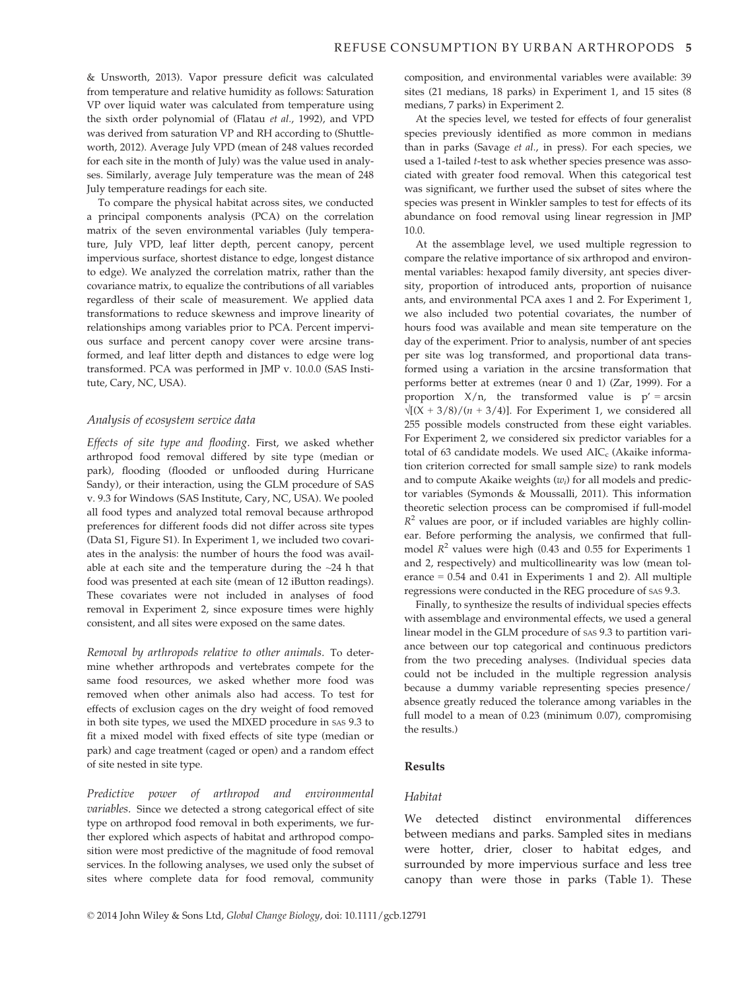& Unsworth, 2013). Vapor pressure deficit was calculated from temperature and relative humidity as follows: Saturation VP over liquid water was calculated from temperature using the sixth order polynomial of (Flatau et al., 1992), and VPD was derived from saturation VP and RH according to (Shuttleworth, 2012). Average July VPD (mean of 248 values recorded for each site in the month of July) was the value used in analyses. Similarly, average July temperature was the mean of 248 July temperature readings for each site.

To compare the physical habitat across sites, we conducted a principal components analysis (PCA) on the correlation matrix of the seven environmental variables (July temperature, July VPD, leaf litter depth, percent canopy, percent impervious surface, shortest distance to edge, longest distance to edge). We analyzed the correlation matrix, rather than the covariance matrix, to equalize the contributions of all variables regardless of their scale of measurement. We applied data transformations to reduce skewness and improve linearity of relationships among variables prior to PCA. Percent impervious surface and percent canopy cover were arcsine transformed, and leaf litter depth and distances to edge were log transformed. PCA was performed in JMP v. 10.0.0 (SAS Institute, Cary, NC, USA).

# Analysis of ecosystem service data

Effects of site type and flooding. First, we asked whether arthropod food removal differed by site type (median or park), flooding (flooded or unflooded during Hurricane Sandy), or their interaction, using the GLM procedure of SAS v. 9.3 for Windows (SAS Institute, Cary, NC, USA). We pooled all food types and analyzed total removal because arthropod preferences for different foods did not differ across site types (Data S1, Figure S1). In Experiment 1, we included two covariates in the analysis: the number of hours the food was available at each site and the temperature during the  $\sim$ 24 h that food was presented at each site (mean of 12 iButton readings). These covariates were not included in analyses of food removal in Experiment 2, since exposure times were highly consistent, and all sites were exposed on the same dates.

Removal by arthropods relative to other animals. To determine whether arthropods and vertebrates compete for the same food resources, we asked whether more food was removed when other animals also had access. To test for effects of exclusion cages on the dry weight of food removed in both site types, we used the MIXED procedure in SAS 9.3 to fit a mixed model with fixed effects of site type (median or park) and cage treatment (caged or open) and a random effect of site nested in site type.

Predictive power of arthropod and environmental variables. Since we detected a strong categorical effect of site type on arthropod food removal in both experiments, we further explored which aspects of habitat and arthropod composition were most predictive of the magnitude of food removal services. In the following analyses, we used only the subset of sites where complete data for food removal, community composition, and environmental variables were available: 39 sites (21 medians, 18 parks) in Experiment 1, and 15 sites (8 medians, 7 parks) in Experiment 2.

At the species level, we tested for effects of four generalist species previously identified as more common in medians than in parks (Savage et al., in press). For each species, we used a 1-tailed t-test to ask whether species presence was associated with greater food removal. When this categorical test was significant, we further used the subset of sites where the species was present in Winkler samples to test for effects of its abundance on food removal using linear regression in JMP 10.0.

At the assemblage level, we used multiple regression to compare the relative importance of six arthropod and environmental variables: hexapod family diversity, ant species diversity, proportion of introduced ants, proportion of nuisance ants, and environmental PCA axes 1 and 2. For Experiment 1, we also included two potential covariates, the number of hours food was available and mean site temperature on the day of the experiment. Prior to analysis, number of ant species per site was log transformed, and proportional data transformed using a variation in the arcsine transformation that performs better at extremes (near 0 and 1) (Zar, 1999). For a proportion  $X/n$ , the transformed value is  $p' = \arcsin$  $\sqrt{(X + 3/8)/(n + 3/4)}$ . For Experiment 1, we considered all 255 possible models constructed from these eight variables. For Experiment 2, we considered six predictor variables for a total of 63 candidate models. We used  $AIC_c$  (Akaike information criterion corrected for small sample size) to rank models and to compute Akaike weights  $(w_i)$  for all models and predictor variables (Symonds & Moussalli, 2011). This information theoretic selection process can be compromised if full-model  $R^2$  values are poor, or if included variables are highly collinear. Before performing the analysis, we confirmed that fullmodel  $R^2$  values were high (0.43 and 0.55 for Experiments 1 and 2, respectively) and multicollinearity was low (mean tolerance = 0.54 and 0.41 in Experiments 1 and 2). All multiple regressions were conducted in the REG procedure of SAS 9.3.

Finally, to synthesize the results of individual species effects with assemblage and environmental effects, we used a general linear model in the GLM procedure of SAS 9.3 to partition variance between our top categorical and continuous predictors from the two preceding analyses. (Individual species data could not be included in the multiple regression analysis because a dummy variable representing species presence/ absence greatly reduced the tolerance among variables in the full model to a mean of 0.23 (minimum 0.07), compromising the results.)

#### Results

# Habitat

We detected distinct environmental differences between medians and parks. Sampled sites in medians were hotter, drier, closer to habitat edges, and surrounded by more impervious surface and less tree canopy than were those in parks (Table 1). These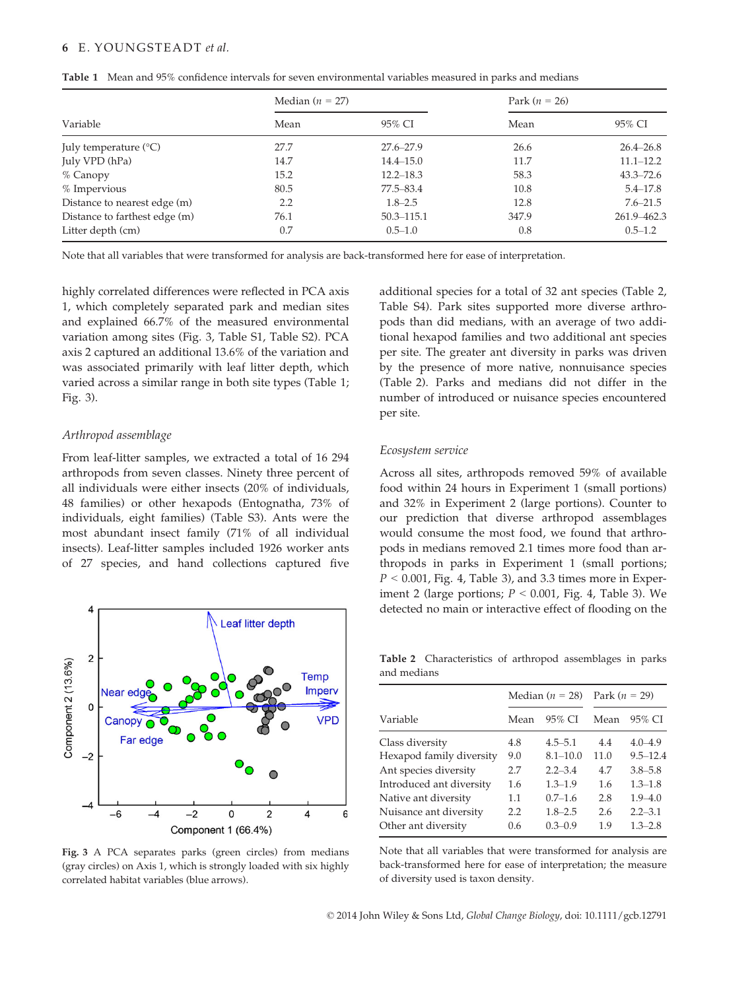# 6 E. YOUNGSTEADT et al.

| Table 1 Mean and 95% confidence intervals for seven environmental variables measured in parks and medians |  |  |  |  |  |
|-----------------------------------------------------------------------------------------------------------|--|--|--|--|--|
|                                                                                                           |  |  |  |  |  |

|                                | Median $(n = 27)$ |                | Park $(n = 26)$ |               |
|--------------------------------|-------------------|----------------|-----------------|---------------|
| Variable                       | Mean              | 95% CI         | Mean            | 95% CI        |
| July temperature $(^{\circ}C)$ | 27.7              | $27.6 - 27.9$  | 26.6            | $26.4 - 26.8$ |
| July VPD (hPa)                 | 14.7              | $14.4 - 15.0$  | 11.7            | $11.1 - 12.2$ |
| $%$ Canopy                     | 15.2              | $12.2 - 18.3$  | 58.3            | $43.3 - 72.6$ |
| % Impervious                   | 80.5              | 77.5-83.4      | 10.8            | $5.4 - 17.8$  |
| Distance to nearest edge (m)   | 2.2               | $1.8 - 2.5$    | 12.8            | $7.6 - 21.5$  |
| Distance to farthest edge (m)  | 76.1              | $50.3 - 115.1$ | 347.9           | 261.9-462.3   |
| Litter depth (cm)              | 0.7               | $0.5 - 1.0$    | 0.8             | $0.5 - 1.2$   |

Note that all variables that were transformed for analysis are back-transformed here for ease of interpretation.

highly correlated differences were reflected in PCA axis 1, which completely separated park and median sites and explained 66.7% of the measured environmental variation among sites (Fig. 3, Table S1, Table S2). PCA axis 2 captured an additional 13.6% of the variation and was associated primarily with leaf litter depth, which varied across a similar range in both site types (Table 1; Fig. 3).

### Arthropod assemblage

From leaf-litter samples, we extracted a total of 16 294 arthropods from seven classes. Ninety three percent of all individuals were either insects (20% of individuals, 48 families) or other hexapods (Entognatha, 73% of individuals, eight families) (Table S3). Ants were the most abundant insect family (71% of all individual insects). Leaf-litter samples included 1926 worker ants of 27 species, and hand collections captured five



Fig. 3 A PCA separates parks (green circles) from medians (gray circles) on Axis 1, which is strongly loaded with six highly correlated habitat variables (blue arrows).

additional species for a total of 32 ant species (Table 2, Table S4). Park sites supported more diverse arthropods than did medians, with an average of two additional hexapod families and two additional ant species per site. The greater ant diversity in parks was driven by the presence of more native, nonnuisance species (Table 2). Parks and medians did not differ in the number of introduced or nuisance species encountered per site.

#### Ecosystem service

Across all sites, arthropods removed 59% of available food within 24 hours in Experiment 1 (small portions) and 32% in Experiment 2 (large portions). Counter to our prediction that diverse arthropod assemblages would consume the most food, we found that arthropods in medians removed 2.1 times more food than arthropods in parks in Experiment 1 (small portions;  $P < 0.001$ , Fig. 4, Table 3), and 3.3 times more in Experiment 2 (large portions;  $P < 0.001$ , Fig. 4, Table 3). We detected no main or interactive effect of flooding on the

Table 2 Characteristics of arthropod assemblages in parks and medians

|                          |      | Median ( $n = 28$ ) | Park $(n = 29)$ |              |  |
|--------------------------|------|---------------------|-----------------|--------------|--|
| Variable                 | Mean | 95% CI              | Mean            | 95% CI       |  |
| Class diversity          | 4.8  | $4.5 - 5.1$         | 4.4             | $4.0 - 4.9$  |  |
| Hexapod family diversity | 9.0  | $8.1 - 10.0$        | 11.0            | $9.5 - 12.4$ |  |
| Ant species diversity    | 2.7  | $2.2 - 3.4$         | 4.7             | $3.8 - 5.8$  |  |
| Introduced ant diversity | 1.6  | $1.3 - 1.9$         | 1.6             | $1.3 - 1.8$  |  |
| Native ant diversity     | 1.1  | $0.7 - 1.6$         | 2.8             | $1.9 - 4.0$  |  |
| Nuisance ant diversity   | 2.2  | $1.8 - 2.5$         | 2.6             | $2.2 - 3.1$  |  |
| Other ant diversity      | 0.6  | $0.3 - 0.9$         | 1.9             | $1.3 - 2.8$  |  |

Note that all variables that were transformed for analysis are back-transformed here for ease of interpretation; the measure of diversity used is taxon density.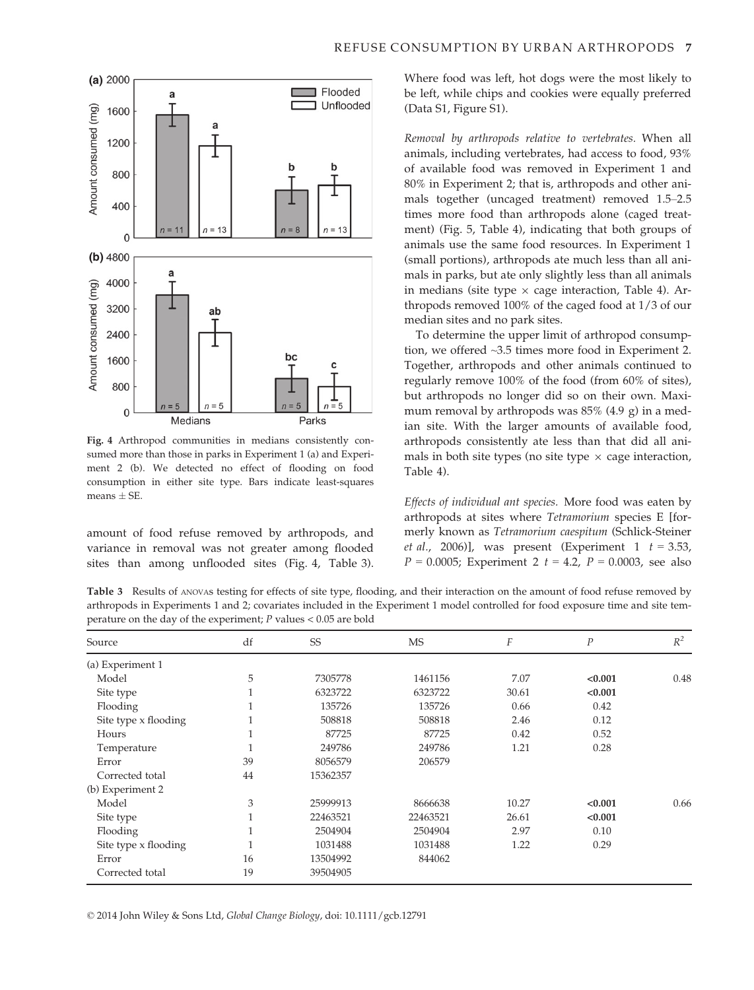

Fig. 4 Arthropod communities in medians consistently consumed more than those in parks in Experiment 1 (a) and Experiment 2 (b). We detected no effect of flooding on food consumption in either site type. Bars indicate least-squares means  $\pm$  SE.

amount of food refuse removed by arthropods, and variance in removal was not greater among flooded sites than among unflooded sites (Fig. 4, Table 3). Where food was left, hot dogs were the most likely to be left, while chips and cookies were equally preferred (Data S1, Figure S1).

Removal by arthropods relative to vertebrates. When all animals, including vertebrates, had access to food, 93% of available food was removed in Experiment 1 and 80% in Experiment 2; that is, arthropods and other animals together (uncaged treatment) removed 1.5–2.5 times more food than arthropods alone (caged treatment) (Fig. 5, Table 4), indicating that both groups of animals use the same food resources. In Experiment 1 (small portions), arthropods ate much less than all animals in parks, but ate only slightly less than all animals in medians (site type  $\times$  cage interaction, Table 4). Arthropods removed 100% of the caged food at 1/3 of our median sites and no park sites.

To determine the upper limit of arthropod consumption, we offered ~3.5 times more food in Experiment 2. Together, arthropods and other animals continued to regularly remove 100% of the food (from 60% of sites), but arthropods no longer did so on their own. Maximum removal by arthropods was 85% (4.9 g) in a median site. With the larger amounts of available food, arthropods consistently ate less than that did all animals in both site types (no site type  $\times$  cage interaction, Table 4).

Effects of individual ant species. More food was eaten by arthropods at sites where Tetramorium species E [formerly known as Tetramorium caespitum (Schlick-Steiner et al., 2006)], was present (Experiment 1  $t = 3.53$ ,  $P = 0.0005$ ; Experiment 2  $t = 4.2$ ,  $P = 0.0003$ , see also

Table 3 Results of ANOVAS testing for effects of site type, flooding, and their interaction on the amount of food refuse removed by arthropods in Experiments 1 and 2; covariates included in the Experiment 1 model controlled for food exposure time and site temperature on the day of the experiment;  $P$  values  $< 0.05$  are bold

| Source               | df | SS       | <b>MS</b> | F     | $\boldsymbol{P}$ | $R^2$ |
|----------------------|----|----------|-----------|-------|------------------|-------|
| (a) Experiment 1     |    |          |           |       |                  |       |
| Model                | 5  | 7305778  | 1461156   | 7.07  | < 0.001          | 0.48  |
| Site type            |    | 6323722  | 6323722   | 30.61 | < 0.001          |       |
| Flooding             |    | 135726   | 135726    | 0.66  | 0.42             |       |
| Site type x flooding |    | 508818   | 508818    | 2.46  | 0.12             |       |
| Hours                | T  | 87725    | 87725     | 0.42  | 0.52             |       |
| Temperature          |    | 249786   | 249786    | 1.21  | 0.28             |       |
| Error                | 39 | 8056579  | 206579    |       |                  |       |
| Corrected total      | 44 | 15362357 |           |       |                  |       |
| (b) Experiment 2     |    |          |           |       |                  |       |
| Model                | 3  | 25999913 | 8666638   | 10.27 | < 0.001          | 0.66  |
| Site type            |    | 22463521 | 22463521  | 26.61 | < 0.001          |       |
| Flooding             |    | 2504904  | 2504904   | 2.97  | 0.10             |       |
| Site type x flooding | 1  | 1031488  | 1031488   | 1.22  | 0.29             |       |
| Error                | 16 | 13504992 | 844062    |       |                  |       |
| Corrected total      | 19 | 39504905 |           |       |                  |       |

© 2014 John Wiley & Sons Ltd, Global Change Biology, doi: 10.1111/gcb.12791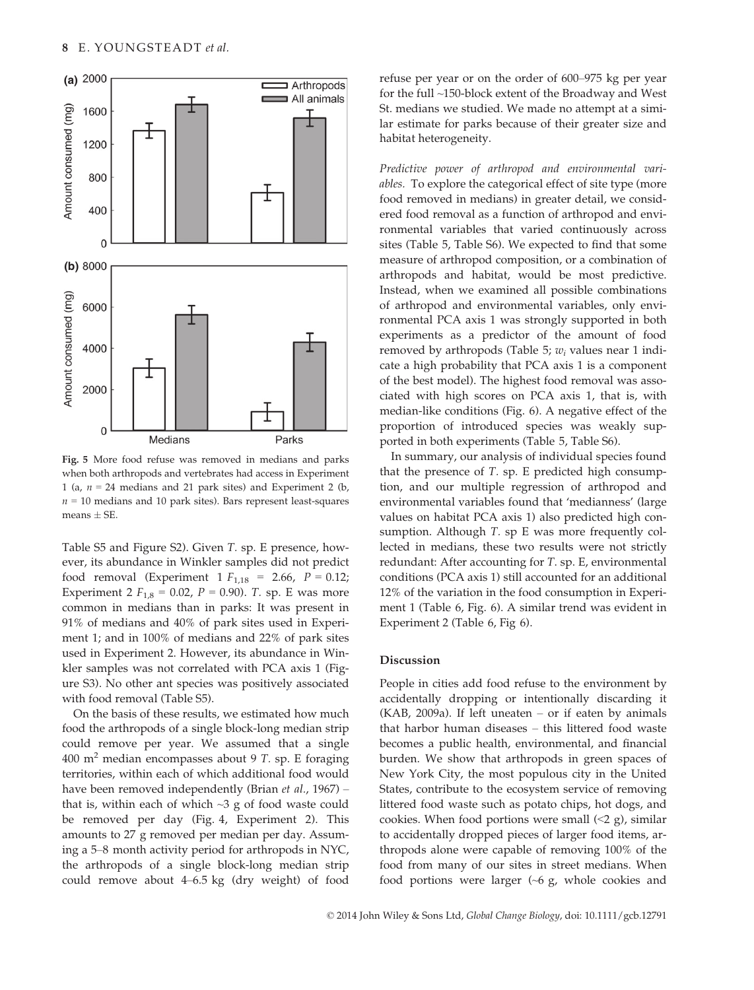

Fig. 5 More food refuse was removed in medians and parks when both arthropods and vertebrates had access in Experiment 1 (a,  $n = 24$  medians and 21 park sites) and Experiment 2 (b,  $n = 10$  medians and 10 park sites). Bars represent least-squares means  $\pm$  SE.

Table S5 and Figure S2). Given T. sp. E presence, however, its abundance in Winkler samples did not predict food removal (Experiment 1  $F_{1,18}$  = 2.66,  $P = 0.12$ ; Experiment 2  $F_{1,8} = 0.02$ ,  $P = 0.90$ ). T. sp. E was more common in medians than in parks: It was present in 91% of medians and 40% of park sites used in Experiment 1; and in 100% of medians and 22% of park sites used in Experiment 2. However, its abundance in Winkler samples was not correlated with PCA axis 1 (Figure S3). No other ant species was positively associated with food removal (Table S5).

On the basis of these results, we estimated how much food the arthropods of a single block-long median strip could remove per year. We assumed that a single 400  $m<sup>2</sup>$  median encompasses about 9 T. sp. E foraging territories, within each of which additional food would have been removed independently (Brian et al., 1967) – that is, within each of which  $\sim$ 3 g of food waste could be removed per day (Fig. 4, Experiment 2). This amounts to 27 g removed per median per day. Assuming a 5–8 month activity period for arthropods in NYC, the arthropods of a single block-long median strip could remove about 4–6.5 kg (dry weight) of food refuse per year or on the order of 600–975 kg per year for the full ~150-block extent of the Broadway and West St. medians we studied. We made no attempt at a similar estimate for parks because of their greater size and habitat heterogeneity.

Predictive power of arthropod and environmental variables. To explore the categorical effect of site type (more food removed in medians) in greater detail, we considered food removal as a function of arthropod and environmental variables that varied continuously across sites (Table 5, Table S6). We expected to find that some measure of arthropod composition, or a combination of arthropods and habitat, would be most predictive. Instead, when we examined all possible combinations of arthropod and environmental variables, only environmental PCA axis 1 was strongly supported in both experiments as a predictor of the amount of food removed by arthropods (Table 5;  $w_i$  values near 1 indicate a high probability that PCA axis 1 is a component of the best model). The highest food removal was associated with high scores on PCA axis 1, that is, with median-like conditions (Fig. 6). A negative effect of the proportion of introduced species was weakly supported in both experiments (Table 5, Table S6).

In summary, our analysis of individual species found that the presence of T. sp. E predicted high consumption, and our multiple regression of arthropod and environmental variables found that 'medianness' (large values on habitat PCA axis 1) also predicted high consumption. Although T. sp E was more frequently collected in medians, these two results were not strictly redundant: After accounting for T. sp. E, environmental conditions (PCA axis 1) still accounted for an additional 12% of the variation in the food consumption in Experiment 1 (Table 6, Fig. 6). A similar trend was evident in Experiment 2 (Table 6, Fig 6).

## Discussion

People in cities add food refuse to the environment by accidentally dropping or intentionally discarding it  $(KAB, 2009a)$ . If left uneaten – or if eaten by animals that harbor human diseases – this littered food waste becomes a public health, environmental, and financial burden. We show that arthropods in green spaces of New York City, the most populous city in the United States, contribute to the ecosystem service of removing littered food waste such as potato chips, hot dogs, and cookies. When food portions were small  $(\leq 2 \text{ g})$ , similar to accidentally dropped pieces of larger food items, arthropods alone were capable of removing 100% of the food from many of our sites in street medians. When food portions were larger  $({\sim}6 \text{ g}, \text{ whole cookies}$  and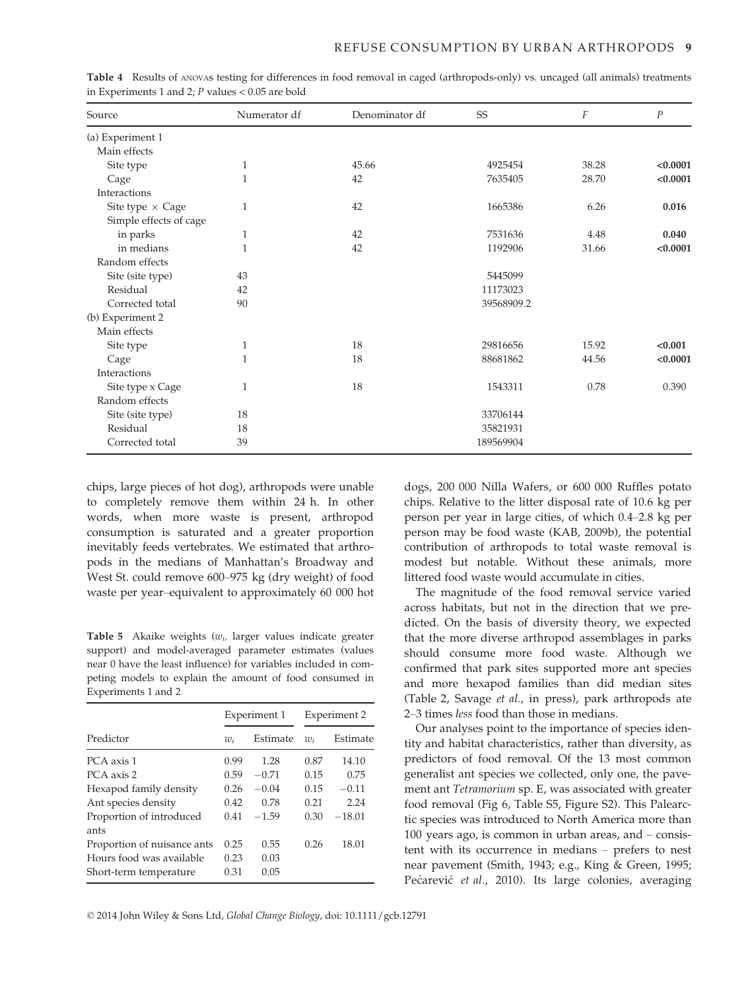| Source                  | Numerator df | Denominator df | SS         | F     | P        |
|-------------------------|--------------|----------------|------------|-------|----------|
| (a) Experiment 1        |              |                |            |       |          |
| Main effects            |              |                |            |       |          |
| Site type               | 1            | 45.66          | 4925454    | 38.28 | < 0.0001 |
| Cage                    | 1            | 42             | 7635405    | 28.70 | < 0.0001 |
| Interactions            |              |                |            |       |          |
| Site type $\times$ Cage | $\mathbf{1}$ | 42             | 1665386    | 6.26  | 0.016    |
| Simple effects of cage  |              |                |            |       |          |
| in parks                | 1            | 42             | 7531636    | 4.48  | 0.040    |
| in medians              | $\mathbf{1}$ | 42             | 1192906    | 31.66 | < 0.0001 |
| Random effects          |              |                |            |       |          |
| Site (site type)        | 43           |                | 5445099    |       |          |
| Residual                | 42           |                | 11173023   |       |          |
| Corrected total         | 90           |                | 39568909.2 |       |          |
| (b) Experiment 2        |              |                |            |       |          |
| Main effects            |              |                |            |       |          |
| Site type               | $\mathbf{1}$ | 18             | 29816656   | 15.92 | < 0.001  |
| Cage                    | 1            | 18             | 88681862   | 44.56 | < 0.0001 |
| Interactions            |              |                |            |       |          |
| Site type x Cage        | 1            | 18             | 1543311    | 0.78  | 0.390    |
| Random effects          |              |                |            |       |          |
| Site (site type)        | 18           |                | 33706144   |       |          |
| Residual                | 18           |                | 35821931   |       |          |
| Corrected total         | 39           |                | 189569904  |       |          |

Table 4 Results of ANOVAs testing for differences in food removal in caged (arthropods-only) vs. uncaged (all animals) treatments in Experiments 1 and 2;  $P$  values < 0.05 are bold

chips, large pieces of hot dog), arthropods were unable to completely remove them within 24 h. In other words, when more waste is present, arthropod consumption is saturated and a greater proportion inevitably feeds vertebrates. We estimated that arthropods in the medians of Manhattan's Broadway and West St. could remove 600–975 kg (dry weight) of food waste per year–equivalent to approximately 60 000 hot

Table 5 Akaike weights  $(w_i)$  larger values indicate greater support) and model-averaged parameter estimates (values near 0 have the least influence) for variables included in competing models to explain the amount of food consumed in Experiments 1 and 2

|       |          | Experiment 2 |          |  |
|-------|----------|--------------|----------|--|
| $w_i$ | Estimate | $w_i$        | Estimate |  |
| 0.99  | 1.28     | 0.87         | 14.10    |  |
| 0.59  | $-0.71$  | 0.15         | 0.75     |  |
| 0.26  | $-0.04$  | 0.15         | $-0.11$  |  |
| 0.42  | 0.78     | 0.21         | 2.24     |  |
| 0.41  | $-1.59$  | 0.30         | $-18.01$ |  |
| 0.25  | 0.55     | 0.26         | 18.01    |  |
| 0.23  | 0.03     |              |          |  |
| 0.31  | 0.05     |              |          |  |
|       |          | Experiment 1 |          |  |

dogs, 200 000 Nilla Wafers, or 600 000 Ruffles potato chips. Relative to the litter disposal rate of 10.6 kg per person per year in large cities, of which 0.4–2.8 kg per person may be food waste (KAB, 2009b), the potential contribution of arthropods to total waste removal is modest but notable. Without these animals, more littered food waste would accumulate in cities.

The magnitude of the food removal service varied across habitats, but not in the direction that we predicted. On the basis of diversity theory, we expected that the more diverse arthropod assemblages in parks should consume more food waste. Although we confirmed that park sites supported more ant species and more hexapod families than did median sites (Table 2, Savage et al., in press), park arthropods ate 2–3 times less food than those in medians.

Our analyses point to the importance of species identity and habitat characteristics, rather than diversity, as predictors of food removal. Of the 13 most common generalist ant species we collected, only one, the pavement ant Tetramorium sp. E, was associated with greater food removal (Fig 6, Table S5, Figure S2). This Palearctic species was introduced to North America more than 100 years ago, is common in urban areas, and – consistent with its occurrence in medians – prefers to nest near pavement (Smith, 1943; e.g., King & Green, 1995; Pećarević et al., 2010). Its large colonies, averaging

© 2014 John Wiley & Sons Ltd, Global Change Biology, doi: 10.1111/gcb.12791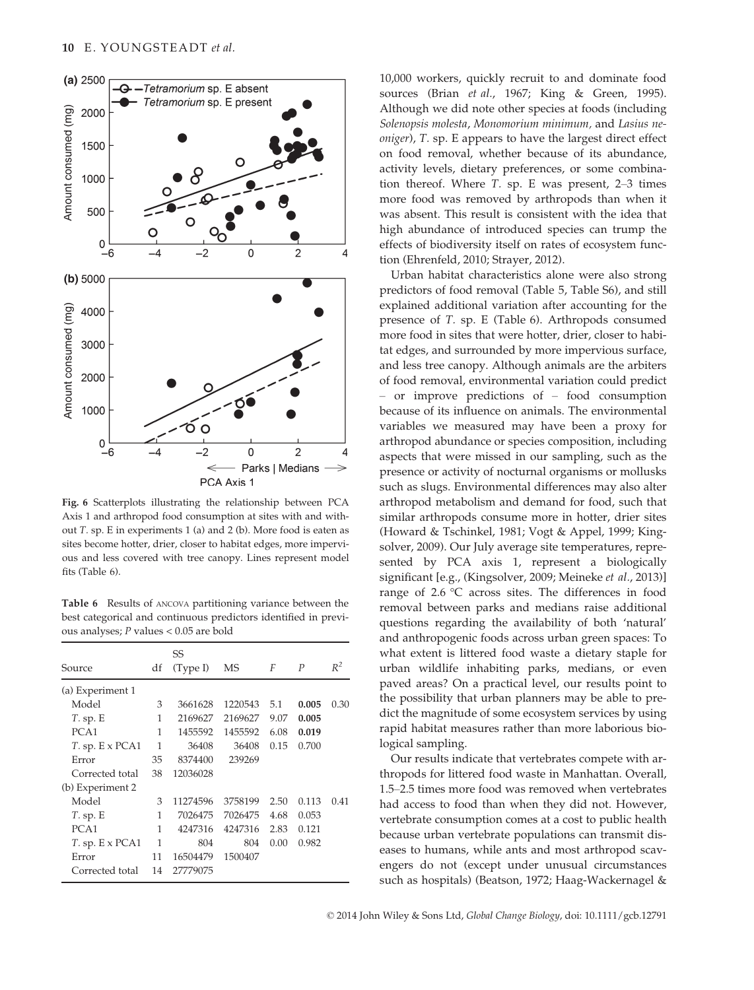

Fig. 6 Scatterplots illustrating the relationship between PCA Axis 1 and arthropod food consumption at sites with and without T. sp. E in experiments 1 (a) and 2 (b). More food is eaten as sites become hotter, drier, closer to habitat edges, more impervious and less covered with tree canopy. Lines represent model fits (Table 6).

Table 6 Results of ANCOVA partitioning variance between the best categorical and continuous predictors identified in previous analyses; P values < 0.05 are bold

|                          |    | SS       |         |      |                  |       |
|--------------------------|----|----------|---------|------|------------------|-------|
| Source                   | df | (Type I) | MS      | F    | $\boldsymbol{P}$ | $R^2$ |
| (a) Experiment 1         |    |          |         |      |                  |       |
| Model                    | 3  | 3661628  | 1220543 | 5.1  | 0.005            | 0.30  |
| $T.$ sp. E               | 1  | 2169627  | 2169627 | 9.07 | 0.005            |       |
| PCA <sub>1</sub>         | 1  | 1455592  | 1455592 | 6.08 | 0.019            |       |
| $T.$ sp. $E \times PCA1$ | 1  | 36408    | 36408   | 0.15 | 0.700            |       |
| Error                    | 35 | 8374400  | 239269  |      |                  |       |
| Corrected total          | 38 | 12036028 |         |      |                  |       |
| (b) Experiment 2         |    |          |         |      |                  |       |
| Model                    | 3  | 11274596 | 3758199 | 2.50 | 0.113            | 0.41  |
| $T.$ sp. E               | 1  | 7026475  | 7026475 | 4.68 | 0.053            |       |
| PCA <sub>1</sub>         | 1  | 4247316  | 4247316 | 2.83 | 0.121            |       |
| $T.$ sp. $E \times PCA1$ | 1  | 804      | 804     | 0.00 | 0.982            |       |
| Error                    | 11 | 16504479 | 1500407 |      |                  |       |
| Corrected total          | 14 | 27779075 |         |      |                  |       |

10,000 workers, quickly recruit to and dominate food sources (Brian et al., 1967; King & Green, 1995). Although we did note other species at foods (including Solenopsis molesta, Monomorium minimum, and Lasius neoniger), T. sp. E appears to have the largest direct effect on food removal, whether because of its abundance, activity levels, dietary preferences, or some combination thereof. Where T. sp. E was present, 2–3 times more food was removed by arthropods than when it was absent. This result is consistent with the idea that high abundance of introduced species can trump the effects of biodiversity itself on rates of ecosystem function (Ehrenfeld, 2010; Strayer, 2012).

Urban habitat characteristics alone were also strong predictors of food removal (Table 5, Table S6), and still explained additional variation after accounting for the presence of T. sp. E (Table 6). Arthropods consumed more food in sites that were hotter, drier, closer to habitat edges, and surrounded by more impervious surface, and less tree canopy. Although animals are the arbiters of food removal, environmental variation could predict – or improve predictions of – food consumption because of its influence on animals. The environmental variables we measured may have been a proxy for arthropod abundance or species composition, including aspects that were missed in our sampling, such as the presence or activity of nocturnal organisms or mollusks such as slugs. Environmental differences may also alter arthropod metabolism and demand for food, such that similar arthropods consume more in hotter, drier sites (Howard & Tschinkel, 1981; Vogt & Appel, 1999; Kingsolver, 2009). Our July average site temperatures, represented by PCA axis 1, represent a biologically significant [e.g., (Kingsolver, 2009; Meineke et al., 2013)] range of 2.6 °C across sites. The differences in food removal between parks and medians raise additional questions regarding the availability of both 'natural' and anthropogenic foods across urban green spaces: To what extent is littered food waste a dietary staple for urban wildlife inhabiting parks, medians, or even paved areas? On a practical level, our results point to the possibility that urban planners may be able to predict the magnitude of some ecosystem services by using rapid habitat measures rather than more laborious biological sampling.

Our results indicate that vertebrates compete with arthropods for littered food waste in Manhattan. Overall, 1.5–2.5 times more food was removed when vertebrates had access to food than when they did not. However, vertebrate consumption comes at a cost to public health because urban vertebrate populations can transmit diseases to humans, while ants and most arthropod scavengers do not (except under unusual circumstances such as hospitals) (Beatson, 1972; Haag-Wackernagel &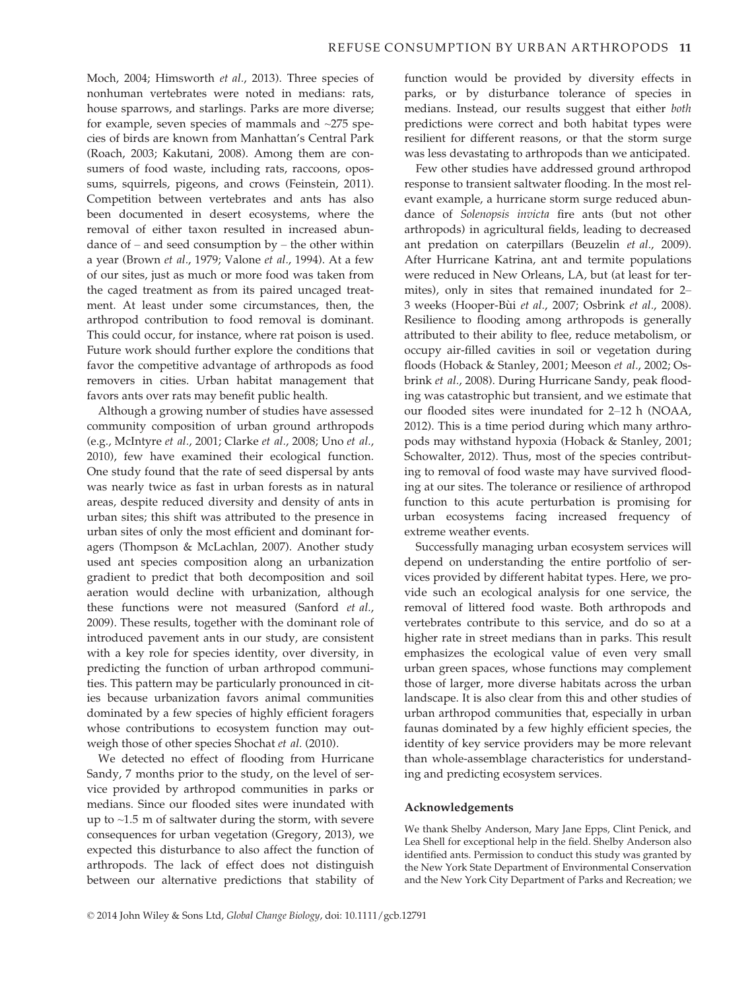Moch, 2004; Himsworth et al., 2013). Three species of nonhuman vertebrates were noted in medians: rats, house sparrows, and starlings. Parks are more diverse; for example, seven species of mammals and ~275 species of birds are known from Manhattan's Central Park (Roach, 2003; Kakutani, 2008). Among them are consumers of food waste, including rats, raccoons, opossums, squirrels, pigeons, and crows (Feinstein, 2011). Competition between vertebrates and ants has also been documented in desert ecosystems, where the removal of either taxon resulted in increased abundance of – and seed consumption by – the other within a year (Brown et al., 1979; Valone et al., 1994). At a few of our sites, just as much or more food was taken from the caged treatment as from its paired uncaged treatment. At least under some circumstances, then, the arthropod contribution to food removal is dominant. This could occur, for instance, where rat poison is used. Future work should further explore the conditions that favor the competitive advantage of arthropods as food removers in cities. Urban habitat management that favors ants over rats may benefit public health.

Although a growing number of studies have assessed community composition of urban ground arthropods (e.g., McIntyre et al., 2001; Clarke et al., 2008; Uno et al., 2010), few have examined their ecological function. One study found that the rate of seed dispersal by ants was nearly twice as fast in urban forests as in natural areas, despite reduced diversity and density of ants in urban sites; this shift was attributed to the presence in urban sites of only the most efficient and dominant foragers (Thompson & McLachlan, 2007). Another study used ant species composition along an urbanization gradient to predict that both decomposition and soil aeration would decline with urbanization, although these functions were not measured (Sanford et al., 2009). These results, together with the dominant role of introduced pavement ants in our study, are consistent with a key role for species identity, over diversity, in predicting the function of urban arthropod communities. This pattern may be particularly pronounced in cities because urbanization favors animal communities dominated by a few species of highly efficient foragers whose contributions to ecosystem function may outweigh those of other species Shochat et al. (2010).

We detected no effect of flooding from Hurricane Sandy, 7 months prior to the study, on the level of service provided by arthropod communities in parks or medians. Since our flooded sites were inundated with up to ~1.5 m of saltwater during the storm, with severe consequences for urban vegetation (Gregory, 2013), we expected this disturbance to also affect the function of arthropods. The lack of effect does not distinguish between our alternative predictions that stability of function would be provided by diversity effects in parks, or by disturbance tolerance of species in medians. Instead, our results suggest that either both predictions were correct and both habitat types were resilient for different reasons, or that the storm surge was less devastating to arthropods than we anticipated.

Few other studies have addressed ground arthropod response to transient saltwater flooding. In the most relevant example, a hurricane storm surge reduced abundance of Solenopsis invicta fire ants (but not other arthropods) in agricultural fields, leading to decreased ant predation on caterpillars (Beuzelin et al., 2009). After Hurricane Katrina, ant and termite populations were reduced in New Orleans, LA, but (at least for termites), only in sites that remained inundated for 2– 3 weeks (Hooper-Bui et al., 2007; Osbrink et al., 2008). Resilience to flooding among arthropods is generally attributed to their ability to flee, reduce metabolism, or occupy air-filled cavities in soil or vegetation during floods (Hoback & Stanley, 2001; Meeson et al., 2002; Osbrink et al., 2008). During Hurricane Sandy, peak flooding was catastrophic but transient, and we estimate that our flooded sites were inundated for 2–12 h (NOAA, 2012). This is a time period during which many arthropods may withstand hypoxia (Hoback & Stanley, 2001; Schowalter, 2012). Thus, most of the species contributing to removal of food waste may have survived flooding at our sites. The tolerance or resilience of arthropod function to this acute perturbation is promising for urban ecosystems facing increased frequency of extreme weather events.

Successfully managing urban ecosystem services will depend on understanding the entire portfolio of services provided by different habitat types. Here, we provide such an ecological analysis for one service, the removal of littered food waste. Both arthropods and vertebrates contribute to this service, and do so at a higher rate in street medians than in parks. This result emphasizes the ecological value of even very small urban green spaces, whose functions may complement those of larger, more diverse habitats across the urban landscape. It is also clear from this and other studies of urban arthropod communities that, especially in urban faunas dominated by a few highly efficient species, the identity of key service providers may be more relevant than whole-assemblage characteristics for understanding and predicting ecosystem services.

## Acknowledgements

We thank Shelby Anderson, Mary Jane Epps, Clint Penick, and Lea Shell for exceptional help in the field. Shelby Anderson also identified ants. Permission to conduct this study was granted by the New York State Department of Environmental Conservation and the New York City Department of Parks and Recreation; we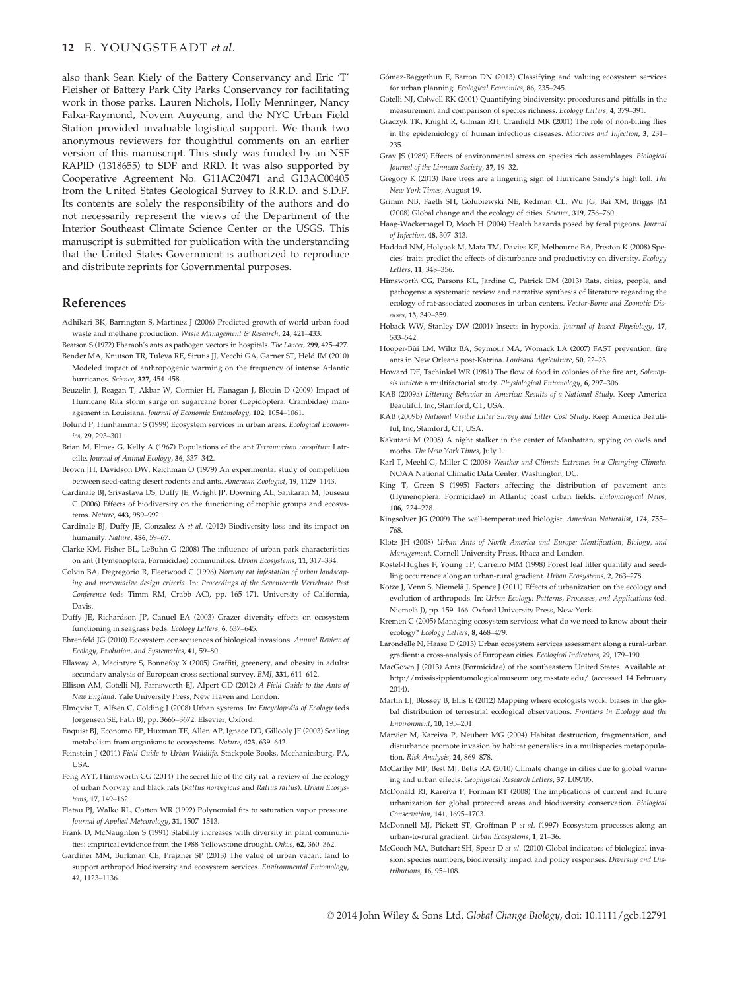#### 12 E. YOUNGSTEADT et al.

also thank Sean Kiely of the Battery Conservancy and Eric 'T' Fleisher of Battery Park City Parks Conservancy for facilitating work in those parks. Lauren Nichols, Holly Menninger, Nancy Falxa-Raymond, Novem Auyeung, and the NYC Urban Field Station provided invaluable logistical support. We thank two anonymous reviewers for thoughtful comments on an earlier version of this manuscript. This study was funded by an NSF RAPID (1318655) to SDF and RRD. It was also supported by Cooperative Agreement No. G11AC20471 and G13AC00405 from the United States Geological Survey to R.R.D. and S.D.F. Its contents are solely the responsibility of the authors and do not necessarily represent the views of the Department of the Interior Southeast Climate Science Center or the USGS. This manuscript is submitted for publication with the understanding that the United States Government is authorized to reproduce and distribute reprints for Governmental purposes.

# References

- Adhikari BK, Barrington S, Martinez J (2006) Predicted growth of world urban food waste and methane production. Waste Management & Research, 24, 421–433.
- Beatson S (1972) Pharaoh's ants as pathogen vectors in hospitals. The Lancet, 299, 425–427. Bender MA, Knutson TR, Tuleya RE, Sirutis JJ, Vecchi GA, Garner ST, Held IM (2010) Modeled impact of anthropogenic warming on the frequency of intense Atlantic hurricanes. Science, 327, 454–458.
- Beuzelin J, Reagan T, Akbar W, Cormier H, Flanagan J, Blouin D (2009) Impact of Hurricane Rita storm surge on sugarcane borer (Lepidoptera: Crambidae) management in Louisiana. Journal of Economic Entomology, 102, 1054–1061.
- Bolund P, Hunhammar S (1999) Ecosystem services in urban areas. Ecological Economics, 29, 293–301.
- Brian M, Elmes G, Kelly A (1967) Populations of the ant Tetramorium caespitum Latreille. Journal of Animal Ecology, 36, 337–342.
- Brown JH, Davidson DW, Reichman O (1979) An experimental study of competition between seed-eating desert rodents and ants. American Zoologist, 19, 1129–1143.
- Cardinale BJ, Srivastava DS, Duffy JE, Wright JP, Downing AL, Sankaran M, Jouseau C (2006) Effects of biodiversity on the functioning of trophic groups and ecosystems. Nature, 443, 989–992.
- Cardinale BJ, Duffy JE, Gonzalez A et al. (2012) Biodiversity loss and its impact on humanity. Nature, 486, 59–67.
- Clarke KM, Fisher BL, LeBuhn G (2008) The influence of urban park characteristics on ant (Hymenoptera, Formicidae) communities. Urban Ecosystems, 11, 317–334.
- Colvin BA, Degregorio R, Fleetwood C (1996) Norway rat infestation of urban landscaping and preventative design criteria. In: Proceedings of the Seventeenth Vertebrate Pest Conference (eds Timm RM, Crabb AC), pp. 165–171. University of California, Davis.
- Duffy JE, Richardson JP, Canuel EA (2003) Grazer diversity effects on ecosystem functioning in seagrass beds. Ecology Letters, 6, 637–645.
- Ehrenfeld JG (2010) Ecosystem consequences of biological invasions. Annual Review of Ecology, Evolution, and Systematics, 41, 59–80.
- Ellaway A, Macintyre S, Bonnefoy X (2005) Graffiti, greenery, and obesity in adults: secondary analysis of European cross sectional survey. BMJ, 331, 611–612.
- Ellison AM, Gotelli NJ, Farnsworth EJ, Alpert GD (2012) A Field Guide to the Ants of New England. Yale University Press, New Haven and London.
- Elmqvist T, Alfsen C, Colding J (2008) Urban systems. In: Encyclopedia of Ecology (eds Jorgensen SE, Fath B), pp. 3665–3672. Elsevier, Oxford.
- Enquist BJ, Economo EP, Huxman TE, Allen AP, Ignace DD, Gillooly JF (2003) Scaling metabolism from organisms to ecosystems. Nature, 423, 639–642.
- Feinstein J (2011) Field Guide to Urban Wildlife. Stackpole Books, Mechanicsburg, PA, USA.
- Feng AYT, Himsworth CG (2014) The secret life of the city rat: a review of the ecology of urban Norway and black rats (Rattus norvegicus and Rattus rattus). Urban Ecosystems, 17, 149–162.
- Flatau PJ, Walko RL, Cotton WR (1992) Polynomial fits to saturation vapor pressure. Journal of Applied Meteorology, 31, 1507–1513.
- Frank D, McNaughton S (1991) Stability increases with diversity in plant communities: empirical evidence from the 1988 Yellowstone drought. Oikos, 62, 360-362.
- Gardiner MM, Burkman CE, Prajzner SP (2013) The value of urban vacant land to support arthropod biodiversity and ecosystem services. Environmental Entomology, 42, 1123–1136.
- Gomez-Baggethun E, Barton DN (2013) Classifying and valuing ecosystem services for urban planning. Ecological Economics, 86, 235–245.
- Gotelli NJ, Colwell RK (2001) Quantifying biodiversity: procedures and pitfalls in the measurement and comparison of species richness. Ecology Letters, 4, 379–391.
- Graczyk TK, Knight R, Gilman RH, Cranfield MR (2001) The role of non-biting flies in the epidemiology of human infectious diseases. Microbes and Infection, 3, 231–  $225$
- Gray JS (1989) Effects of environmental stress on species rich assemblages. Biological Journal of the Linnean Society, 37, 19–32.
- Gregory K (2013) Bare trees are a lingering sign of Hurricane Sandy's high toll. The New York Times, August 19.
- Grimm NB, Faeth SH, Golubiewski NE, Redman CL, Wu JG, Bai XM, Briggs JM (2008) Global change and the ecology of cities. Science, 319, 756–760.
- Haag-Wackernagel D, Moch H (2004) Health hazards posed by feral pigeons. Journal of Infection, 48, 307–313.
- Haddad NM, Holyoak M, Mata TM, Davies KF, Melbourne BA, Preston K (2008) Species' traits predict the effects of disturbance and productivity on diversity. Ecology Letters, 11, 348–356.
- Himsworth CG, Parsons KL, Jardine C, Patrick DM (2013) Rats, cities, people, and pathogens: a systematic review and narrative synthesis of literature regarding the ecology of rat-associated zoonoses in urban centers. Vector-Borne and Zoonotic Diseases, 13, 349–359.
- Hoback WW, Stanley DW (2001) Insects in hypoxia. Journal of Insect Physiology, 47, 533–542.
- Hooper-Bui LM, Wiltz BA, Seymour MA, Womack LA (2007) FAST prevention: fire ants in New Orleans post-Katrina. Louisana Agriculture, 50, 22–23.
- Howard DF, Tschinkel WR (1981) The flow of food in colonies of the fire ant, Solenopsis invicta: a multifactorial study. Physiological Entomology, 6, 297–306.
- KAB (2009a) Littering Behavior in America: Results of a National Study. Keep America Beautiful, Inc, Stamford, CT, USA.
- KAB (2009b) National Visible Litter Survey and Litter Cost Study. Keep America Beautiful, Inc. Stamford, CT, USA.
- Kakutani M (2008) A night stalker in the center of Manhattan, spying on owls and moths. The New York Times, July 1.
- Karl T, Meehl G, Miller C (2008) Weather and Climate Extremes in a Changing Climate. NOAA National Climatic Data Center, Washington, DC.
- King T, Green S (1995) Factors affecting the distribution of pavement ants (Hymenoptera: Formicidae) in Atlantic coast urban fields. Entomological News, 106, 224–228.
- Kingsolver JG (2009) The well-temperatured biologist. American Naturalist, 174, 755– 768.
- Klotz JH (2008) Urban Ants of North America and Europe: Identification, Biology, and Management. Cornell University Press, Ithaca and London.
- Kostel-Hughes F, Young TP, Carreiro MM (1998) Forest leaf litter quantity and seedling occurrence along an urban-rural gradient. Urban Ecosystems, 2, 263–278.
- Kotze J, Venn S, Niemelä J, Spence J (2011) Effects of urbanization on the ecology and evolution of arthropods. In: Urban Ecology: Patterns, Processes, and Applications (ed. Niemelä J), pp. 159-166. Oxford University Press, New York.
- Kremen C (2005) Managing ecosystem services: what do we need to know about their ecology? Ecology Letters, 8, 468–479.
- Larondelle N, Haase D (2013) Urban ecosystem services assessment along a rural-urban gradient: a cross-analysis of European cities. Ecological Indicators, 29, 179–190.
- MacGown J (2013) Ants (Formicidae) of the southeastern United States. Available at: http://mississippientomologicalmuseum.org.msstate.edu/ (accessed 14 February 2014).
- Martin LJ, Blossey B, Ellis E (2012) Mapping where ecologists work: biases in the global distribution of terrestrial ecological observations. Frontiers in Ecology and the Environment, 10, 195–201.
- Marvier M, Kareiva P, Neubert MG (2004) Habitat destruction, fragmentation, and disturbance promote invasion by habitat generalists in a multispecies metapopulation. Risk Analysis, 24, 869–878.
- McCarthy MP, Best MJ, Betts RA (2010) Climate change in cities due to global warming and urban effects. Geophysical Research Letters, 37, L09705.
- McDonald RI, Kareiva P, Forman RT (2008) The implications of current and future urbanization for global protected areas and biodiversity conservation. Biological Conservation, 141, 1695–1703.
- McDonnell MJ, Pickett ST, Groffman P et al. (1997) Ecosystem processes along an urban-to-rural gradient. Urban Ecosystems, 1, 21–36.
- McGeoch MA, Butchart SH, Spear D et al. (2010) Global indicators of biological invasion: species numbers, biodiversity impact and policy responses. Diversity and Distributions, 16, 95–108.